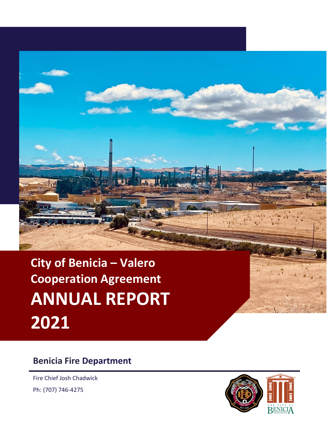

**City of Benicia – Valero Cooperation Agreement ANNUAL REPORT 2021**

### **Benicia Fire Department**

Fire Chief Josh Chadwick Ph: (707) 746-4275

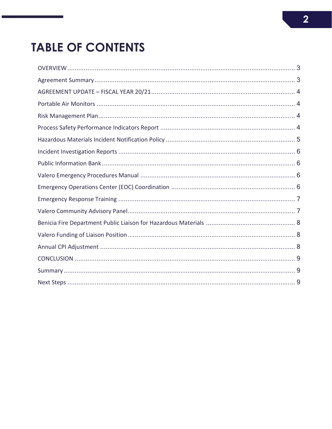# **TABLE OF CONTENTS**

<span id="page-1-0"></span>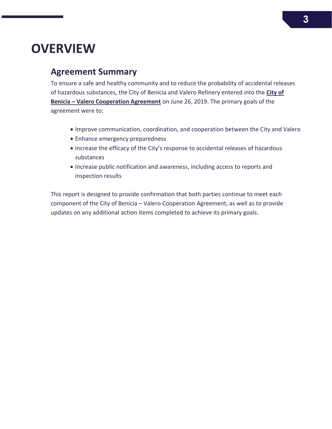## **OVERVIEW**

### <span id="page-2-0"></span>**Agreement Summary**

To ensure a safe and healthy community and to reduce the probability of accidental releases of hazardous substances, the City of Benicia and Valero Refinery entered into the **[City of](https://www.ci.benicia.ca.us/vertical/sites/%7BF991A639-AAED-4E1A-9735-86EA195E2C8D%7D/uploads/Benicia_-_Valero_Cooperation_Agreement_SIGNED.pdf)  Benicia – [Valero Cooperation Agreement](https://www.ci.benicia.ca.us/vertical/sites/%7BF991A639-AAED-4E1A-9735-86EA195E2C8D%7D/uploads/Benicia_-_Valero_Cooperation_Agreement_SIGNED.pdf)** on June 26, 2019. The primary goals of the agreement were to:

- Improve communication, coordination, and cooperation between the City and Valero
- Enhance emergency preparedness
- Increase the efficacy of the City's response to accidental releases of hazardous substances
- Increase public notification and awareness, including access to reports and inspection results

This report is designed to provide confirmation that both parties continue to meet each component of the City of Benicia – Valero Cooperation Agreement, as well as to provide updates on any additional action items completed to achieve its primary goals.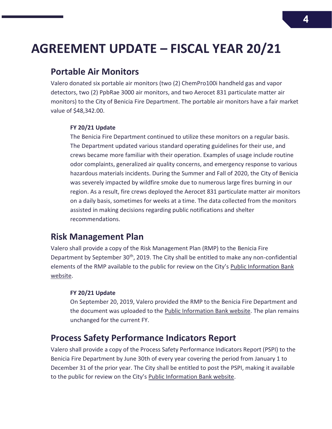## <span id="page-3-0"></span>**AGREEMENT UPDATE – FISCAL YEAR 20/21**

### <span id="page-3-1"></span>**Portable Air Monitors**

Valero donated six portable air monitors (two (2) ChemPro100i handheld gas and vapor detectors, two (2) PpbRae 3000 air monitors, and two Aerocet 831 particulate matter air monitors) to the City of Benicia Fire Department. The portable air monitors have a fair market value of \$48,342.00.

#### **FY 20/21 Update**

The Benicia Fire Department continued to utilize these monitors on a regular basis. The Department updated various standard operating guidelines for their use, and crews became more familiar with their operation. Examples of usage include routine odor complaints, generalized air quality concerns, and emergency response to various hazardous materials incidents. During the Summer and Fall of 2020, the City of Benicia was severely impacted by wildfire smoke due to numerous large fires burning in our region. As a result, fire crews deployed the Aerocet 831 particulate matter air monitors on a daily basis, sometimes for weeks at a time. The data collected from the monitors assisted in making decisions regarding public notifications and shelter recommendations.

### <span id="page-3-2"></span>**Risk Management Plan**

Valero shall provide a copy of the Risk Management Plan (RMP) to the Benicia Fire Department by September  $30<sup>th</sup>$ , 2019. The City shall be entitled to make any non-confidential elements of the RMP available to the public for review on the City's [Public Information Bank](https://www.ci.benicia.ca.us/publicinfobank)  [website.](https://www.ci.benicia.ca.us/publicinfobank)

#### **FY 20/21 Update**

On September 20, 2019, Valero provided the RMP to the Benicia Fire Department and the document was uploaded to the [Public Information Bank website.](https://www.ci.benicia.ca.us/publicinfobank) The plan remains unchanged for the current FY.

### <span id="page-3-3"></span>**Process Safety Performance Indicators Report**

Valero shall provide a copy of the Process Safety Performance Indicators Report (PSPI) to the Benicia Fire Department by June 30th of every year covering the period from January 1 to December 31 of the prior year. The City shall be entitled to post the PSPI, making it available to the public for review on the City's [Public Information Bank website.](https://www.ci.benicia.ca.us/publicinfobank)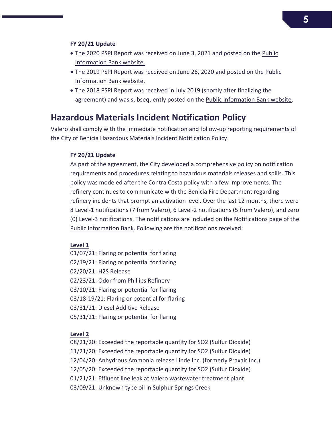- The 2020 PSPI Report was received on June 3, 2021 and posted on the Public [Information Bank website.](https://www.ci.benicia.ca.us/publicinfobank)
- The 2019 PSPI Report was received on June 26, 2020 and posted on the [Public](https://www.ci.benicia.ca.us/publicinfobank)  [Information Bank website.](https://www.ci.benicia.ca.us/publicinfobank)
- The 2018 PSPI Report was received in July 2019 (shortly after finalizing the agreement) and was subsequently posted on the [Public Information Bank website.](https://www.ci.benicia.ca.us/publicinfobank)

### <span id="page-4-0"></span>**Hazardous Materials Incident Notification Policy**

Valero shall comply with the immediate notification and follow-up reporting requirements of the City of Benicia [Hazardous Materials Incident Notification Policy.](https://www.ci.benicia.ca.us/vertical/sites/%7BF991A639-AAED-4E1A-9735-86EA195E2C8D%7D/uploads/Hazardous_Materials_Incident_Notification_Policy.pdf)

#### **FY 20/21 Update**

As part of the agreement, the City developed a comprehensive policy on notification requirements and procedures relating to hazardous materials releases and spills. This policy was modeled after the Contra Costa policy with a few improvements. The refinery continues to communicate with the Benicia Fire Department regarding refinery incidents that prompt an activation level. Over the last 12 months, there were 8 Level-1 notifications (7 from Valero), 6 Level-2 notifications (5 from Valero), and zero (0) Level-3 notifications. The notifications are included on the [Notifications](https://www.ci.benicia.ca.us/index.asp?SEC=D47F5F29-2E73-4FBF-88FD-7E5C3827651B&DE=020698BB-9BC3-4B2F-AD16-B1ED3CE4DDB8&Type=B_BASIC) page of the [Public Information Bank.](https://www.ci.benicia.ca.us/publicinfobank) Following are the notifications received:

#### **Level 1**

01/07/21: Flaring or potential for flaring 02/19/21: Flaring or potential for flaring 02/20/21: H2S Release 02/23/21: Odor from Phillips Refinery 03/10/21: Flaring or potential for flaring 03/18-19/21: Flaring or potential for flaring 03/31/21: Diesel Additive Release 05/31/21: Flaring or potential for flaring

#### **Level 2**

08/21/20: Exceeded the reportable quantity for SO2 (Sulfur Dioxide) 11/21/20: Exceeded the reportable quantity for SO2 (Sulfur Dioxide) 12/04/20: Anhydrous Ammonia release Linde Inc. (formerly Praxair Inc.) 12/05/20: Exceeded the reportable quantity for SO2 (Sulfur Dioxide) 01/21/21: Effluent line leak at Valero wastewater treatment plant 03/09/21: Unknown type oil in Sulphur Springs Creek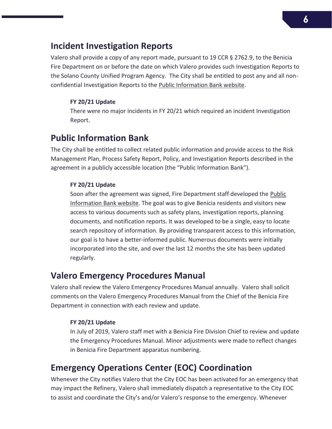### <span id="page-5-0"></span>**Incident Investigation Reports**

Valero shall provide a copy of any report made, pursuant to 19 CCR § 2762.9, to the Benicia Fire Department on or before the date on which Valero provides such Investigation Reports to the Solano County Unified Program Agency. The City shall be entitled to post any and all non-confidential Investigation Reports to the [Public Information Bank website.](https://www.ci.benicia.ca.us/publicinfobank)

#### **FY 20/21 Update**

There were no major incidents in FY 20/21 which required an incident Investigation Report.

### <span id="page-5-1"></span>**Public Information Bank**

The City shall be entitled to collect related public information and provide access to the Risk Management Plan, Process Safety Report, Policy, and Investigation Reports described in the agreement in a publicly accessible location (the "Public Information Bank").

#### **FY 20/21 Update**

Soon after the agreement was signed, Fire Department staff developed the [Public](https://www.ci.benicia.ca.us/publicinfobank)  [Information Bank website.](https://www.ci.benicia.ca.us/publicinfobank) The goal was to give Benicia residents and visitors new access to various documents such as safety plans, investigation reports, planning documents, and notification reports. It was developed to be a single, easy to locate search repository of information. By providing transparent access to this information, our goal is to have a better-informed public. Numerous documents were initially incorporated into the site, and over the last 12 months the site has been updated regularly.

### <span id="page-5-2"></span>**Valero Emergency Procedures Manual**

Valero shall review the Valero Emergency Procedures Manual annually. Valero shall solicit comments on the Valero Emergency Procedures Manual from the Chief of the Benicia Fire Department in connection with each review and update.

#### **FY 20/21 Update**

In July of 2019, Valero staff met with a Benicia Fire Division Chief to review and update the Emergency Procedures Manual. Minor adjustments were made to reflect changes in Benicia Fire Department apparatus numbering.

### <span id="page-5-3"></span>**Emergency Operations Center (EOC) Coordination**

Whenever the City notifies Valero that the City EOC has been activated for an emergency that may impact the Refinery, Valero shall immediately dispatch a representative to the City EOC to assist and coordinate the City's and/or Valero's response to the emergency. Whenever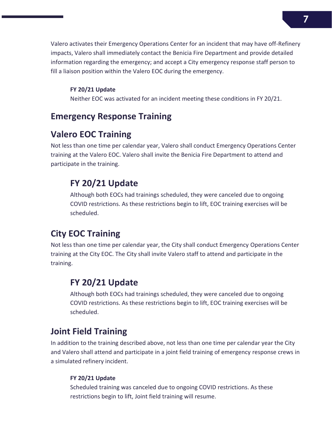Valero activates their Emergency Operations Center for an incident that may have off-Refinery impacts, Valero shall immediately contact the Benicia Fire Department and provide detailed information regarding the emergency; and accept a City emergency response staff person to fill a liaison position within the Valero EOC during the emergency.

#### **FY 20/21 Update**

Neither EOC was activated for an incident meeting these conditions in FY 20/21.

### <span id="page-6-0"></span>**Emergency Response Training**

### **Valero EOC Training**

Not less than one time per calendar year, Valero shall conduct Emergency Operations Center training at the Valero EOC. Valero shall invite the Benicia Fire Department to attend and participate in the training.

### **FY 20/21 Update**

Although both EOCs had trainings scheduled, they were canceled due to ongoing COVID restrictions. As these restrictions begin to lift, EOC training exercises will be scheduled.

### **City EOC Training**

Not less than one time per calendar year, the City shall conduct Emergency Operations Center training at the City EOC. The City shall invite Valero staff to attend and participate in the training.

### **FY 20/21 Update**

Although both EOCs had trainings scheduled, they were canceled due to ongoing COVID restrictions. As these restrictions begin to lift, EOC training exercises will be scheduled.

### **Joint Field Training**

In addition to the training described above, not less than one time per calendar year the City and Valero shall attend and participate in a joint field training of emergency response crews in a simulated refinery incident.

#### **FY 20/21 Update**

<span id="page-6-1"></span>Scheduled training was canceled due to ongoing COVID restrictions. As these restrictions begin to lift, Joint field training will resume.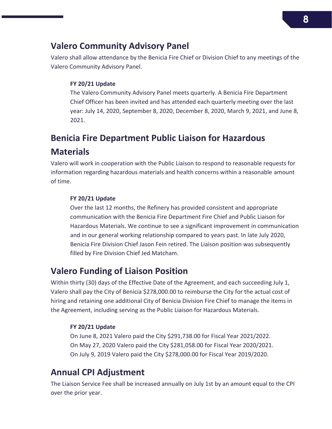### **Valero Community Advisory Panel**

Valero shall allow attendance by the Benicia Fire Chief or Division Chief to any meetings of the Valero Community Advisory Panel.

#### **FY 20/21 Update**

The Valero Community Advisory Panel meets quarterly. A Benicia Fire Department Chief Officer has been invited and has attended each quarterly meeting over the last year: July 14, 2020, September 8, 2020, December 8, 2020, March 9, 2021, and June 8, 2021.

### <span id="page-7-0"></span>**Benicia Fire Department Public Liaison for Hazardous Materials**

Valero will work in cooperation with the Public Liaison to respond to reasonable requests for information regarding hazardous materials and health concerns within a reasonable amount of time.

#### **FY 20/21 Update**

Over the last 12 months, the Refinery has provided consistent and appropriate communication with the Benicia Fire Department Fire Chief and Public Liaison for Hazardous Materials. We continue to see a significant improvement in communication and in our general working relationship compared to years past. In late July 2020, Benicia Fire Division Chief Jason Fein retired. The Liaison position was subsequently filled by Fire Division Chief Jed Matcham.

### <span id="page-7-1"></span>**Valero Funding of Liaison Position**

Within thirty (30) days of the Effective Date of the Agreement, and each succeeding July 1, Valero shall pay the City of Benicia \$278,000.00 to reimburse the City for the actual cost of hiring and retaining one additional City of Benicia Division Fire Chief to manage the items in the Agreement, including serving as the Public Liaison for Hazardous Materials.

#### **FY 20/21 Update**

On June 8, 2021 Valero paid the City \$291,738.00 for Fiscal Year 2021/2022. On May 27, 2020 Valero paid the City \$281,058.00 for Fiscal Year 2020/2021. On July 9, 2019 Valero paid the City \$278,000.00 for Fiscal Year 2019/2020.

### <span id="page-7-2"></span>**Annual CPI Adjustment**

The Liaison Service Fee shall be increased annually on July 1st by an amount equal to the CPI over the prior year.